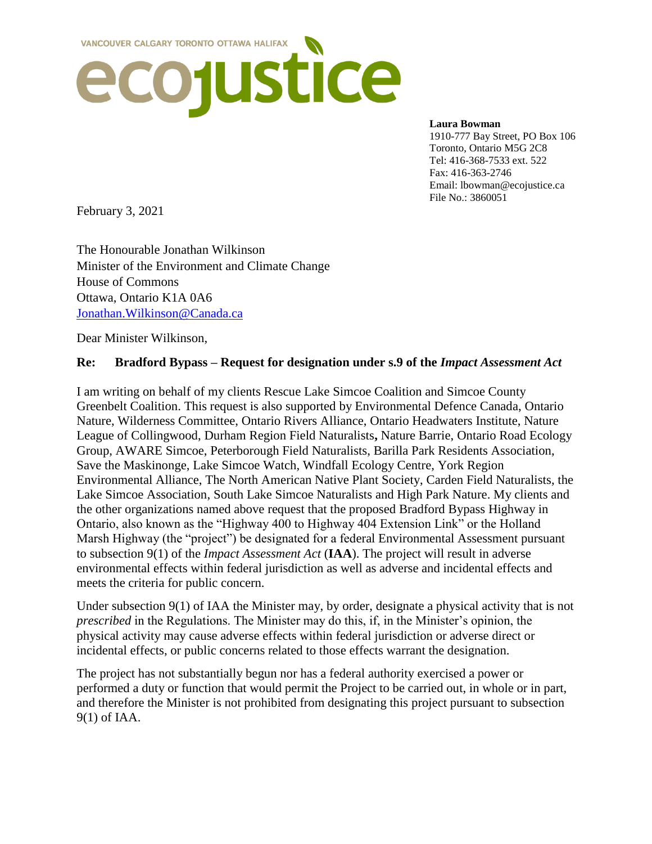

#### **Laura Bowman**

1910-777 Bay Street, PO Box 106 Toronto, Ontario M5G 2C8 Tel: 416-368-7533 ext. 522 Fax: 416-363-2746 Email: lbowman@ecojustice.ca File No.: 3860051

February 3, 2021

The Honourable Jonathan Wilkinson Minister of the Environment and Climate Change House of Commons Ottawa, Ontario K1A 0A6 [Jonathan.Wilkinson@Canada.ca](mailto:Jonathan.Wilkinson@Canada.ca)

Dear Minister Wilkinson,

#### **Re: Bradford Bypass – Request for designation under s.9 of the** *Impact Assessment Act*

I am writing on behalf of my clients Rescue Lake Simcoe Coalition and Simcoe County Greenbelt Coalition. This request is also supported by Environmental Defence Canada, Ontario Nature, Wilderness Committee, Ontario Rivers Alliance, Ontario Headwaters Institute, Nature League of Collingwood, Durham Region Field Naturalists**,** Nature Barrie, Ontario Road Ecology Group, AWARE Simcoe, Peterborough Field Naturalists, Barilla Park Residents Association, Save the Maskinonge, Lake Simcoe Watch, Windfall Ecology Centre, York Region Environmental Alliance, The North American Native Plant Society, Carden Field Naturalists, the Lake Simcoe Association, South Lake Simcoe Naturalists and High Park Nature. My clients and the other organizations named above request that the proposed Bradford Bypass Highway in Ontario, also known as the "Highway 400 to Highway 404 Extension Link" or the Holland Marsh Highway (the "project") be designated for a federal Environmental Assessment pursuant to subsection 9(1) of the *Impact Assessment Act* (**IAA**). The project will result in adverse environmental effects within federal jurisdiction as well as adverse and incidental effects and meets the criteria for public concern.

Under subsection 9(1) of IAA the Minister may, by order, designate a physical activity that is not *prescribed* in the Regulations. The Minister may do this, if, in the Minister's opinion, the physical activity may cause adverse effects within federal jurisdiction or adverse direct or incidental effects, or public concerns related to those effects warrant the designation.

The project has not substantially begun nor has a federal authority exercised a power or performed a duty or function that would permit the Project to be carried out, in whole or in part, and therefore the Minister is not prohibited from designating this project pursuant to subsection 9(1) of IAA.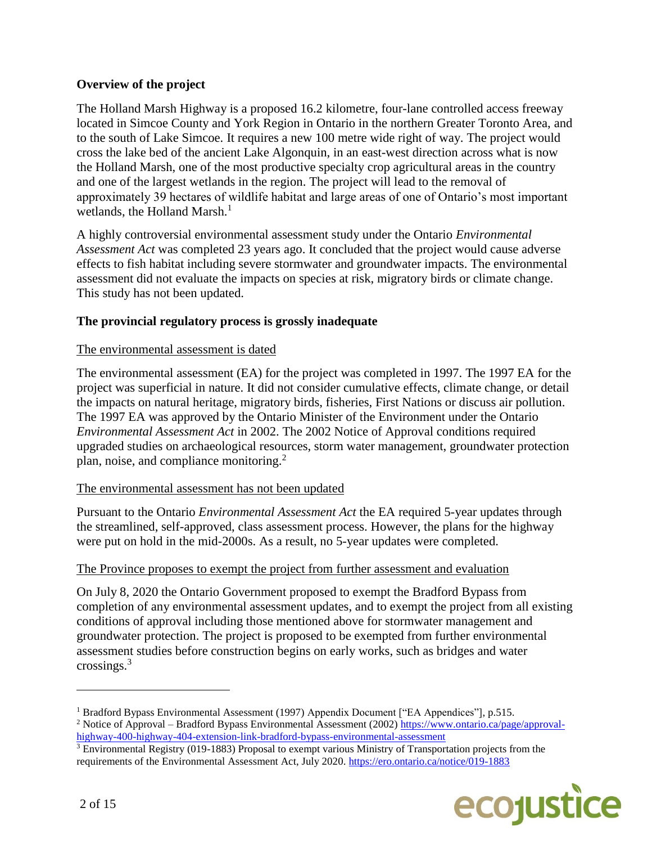# **Overview of the project**

The Holland Marsh Highway is a proposed 16.2 kilometre, four-lane controlled access freeway located in Simcoe County and York Region in Ontario in the northern Greater Toronto Area, and to the south of Lake Simcoe. It requires a new 100 metre wide right of way. The project would cross the lake bed of the ancient Lake Algonquin, in an east-west direction across what is now the Holland Marsh, one of the most productive specialty crop agricultural areas in the country and one of the largest wetlands in the region. The project will lead to the removal of approximately 39 hectares of wildlife habitat and large areas of one of Ontario's most important wetlands, the Holland Marsh.<sup>1</sup>

A highly controversial environmental assessment study under the Ontario *Environmental Assessment Act* was completed 23 years ago. It concluded that the project would cause adverse effects to fish habitat including severe stormwater and groundwater impacts. The environmental assessment did not evaluate the impacts on species at risk, migratory birds or climate change. This study has not been updated.

# **The provincial regulatory process is grossly inadequate**

# The environmental assessment is dated

The environmental assessment (EA) for the project was completed in 1997. The 1997 EA for the project was superficial in nature. It did not consider cumulative effects, climate change, or detail the impacts on natural heritage, migratory birds, fisheries, First Nations or discuss air pollution. The 1997 EA was approved by the Ontario Minister of the Environment under the Ontario *Environmental Assessment Act* in 2002. The 2002 Notice of Approval conditions required upgraded studies on archaeological resources, storm water management, groundwater protection plan, noise, and compliance monitoring.<sup>2</sup>

# The environmental assessment has not been updated

Pursuant to the Ontario *Environmental Assessment Act* the EA required 5-year updates through the streamlined, self-approved, class assessment process. However, the plans for the highway were put on hold in the mid-2000s. As a result, no 5-year updates were completed.

# The Province proposes to exempt the project from further assessment and evaluation

On July 8, 2020 the Ontario Government proposed to exempt the Bradford Bypass from completion of any environmental assessment updates, and to exempt the project from all existing conditions of approval including those mentioned above for stormwater management and groundwater protection. The project is proposed to be exempted from further environmental assessment studies before construction begins on early works, such as bridges and water crossings.<sup>3</sup>

<sup>3</sup> Environmental Registry (019-1883) Proposal to exempt various Ministry of Transportation projects from the requirements of the Environmental Assessment Act, July 2020.<https://ero.ontario.ca/notice/019-1883>



<sup>&</sup>lt;sup>1</sup> Bradford Bypass Environmental Assessment (1997) Appendix Document ["EA Appendices"], p.515.

<sup>2</sup> Notice of Approval – Bradford Bypass Environmental Assessment (2002) [https://www.ontario.ca/page/approval](https://www.ontario.ca/page/approval-highway-400-highway-404-extension-link-bradford-bypass-environmental-assessment)[highway-400-highway-404-extension-link-bradford-bypass-environmental-assessment](https://www.ontario.ca/page/approval-highway-400-highway-404-extension-link-bradford-bypass-environmental-assessment)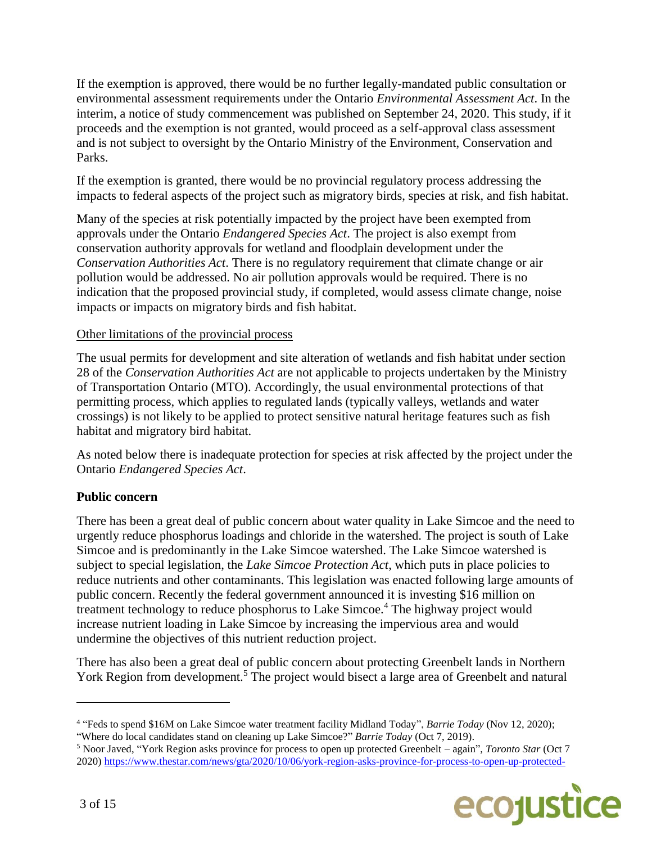If the exemption is approved, there would be no further legally-mandated public consultation or environmental assessment requirements under the Ontario *Environmental Assessment Act*. In the interim, a notice of study commencement was published on September 24, 2020. This study, if it proceeds and the exemption is not granted, would proceed as a self-approval class assessment and is not subject to oversight by the Ontario Ministry of the Environment, Conservation and Parks.

If the exemption is granted, there would be no provincial regulatory process addressing the impacts to federal aspects of the project such as migratory birds, species at risk, and fish habitat.

Many of the species at risk potentially impacted by the project have been exempted from approvals under the Ontario *Endangered Species Act*. The project is also exempt from conservation authority approvals for wetland and floodplain development under the *Conservation Authorities Act*. There is no regulatory requirement that climate change or air pollution would be addressed. No air pollution approvals would be required. There is no indication that the proposed provincial study, if completed, would assess climate change, noise impacts or impacts on migratory birds and fish habitat.

#### Other limitations of the provincial process

The usual permits for development and site alteration of wetlands and fish habitat under section 28 of the *Conservation Authorities Act* are not applicable to projects undertaken by the Ministry of Transportation Ontario (MTO). Accordingly, the usual environmental protections of that permitting process, which applies to regulated lands (typically valleys, wetlands and water crossings) is not likely to be applied to protect sensitive natural heritage features such as fish habitat and migratory bird habitat.

As noted below there is inadequate protection for species at risk affected by the project under the Ontario *Endangered Species Act*.

# **Public concern**

There has been a great deal of public concern about water quality in Lake Simcoe and the need to urgently reduce phosphorus loadings and chloride in the watershed. The project is south of Lake Simcoe and is predominantly in the Lake Simcoe watershed. The Lake Simcoe watershed is subject to special legislation, the *Lake Simcoe Protection Act*, which puts in place policies to reduce nutrients and other contaminants. This legislation was enacted following large amounts of public concern. Recently the federal government announced it is investing \$16 million on treatment technology to reduce phosphorus to Lake Simcoe.<sup>4</sup> The highway project would increase nutrient loading in Lake Simcoe by increasing the impervious area and would undermine the objectives of this nutrient reduction project.

There has also been a great deal of public concern about protecting Greenbelt lands in Northern York Region from development.<sup>5</sup> The project would bisect a large area of Greenbelt and natural

<sup>5</sup> Noor Javed, "York Region asks province for process to open up protected Greenbelt – again", *Toronto Star* (Oct 7 2020) [https://www.thestar.com/news/gta/2020/10/06/york-region-asks-province-for-process-to-open-up-protected-](https://www.thestar.com/news/gta/2020/10/06/york-region-asks-province-for-process-to-open-up-protected-greenbelt-again.html)



<sup>4</sup> "Feds to spend \$16M on Lake Simcoe water treatment facility Midland Today", *Barrie Today* (Nov 12, 2020); "Where do local candidates stand on cleaning up Lake Simcoe?" *Barrie Today* (Oct 7, 2019).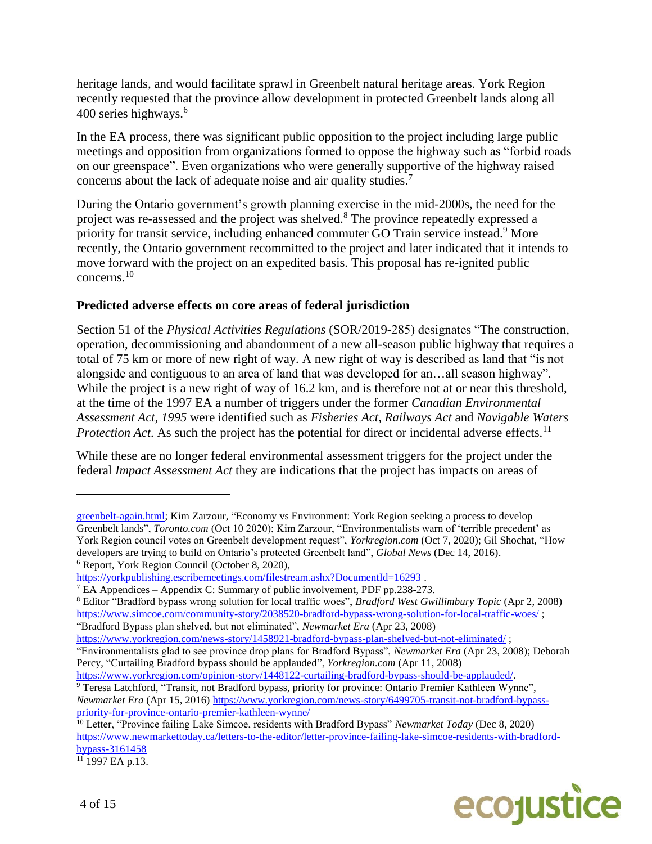heritage lands, and would facilitate sprawl in Greenbelt natural heritage areas. York Region recently requested that the province allow development in protected Greenbelt lands along all 400 series highways.<sup>6</sup>

In the EA process, there was significant public opposition to the project including large public meetings and opposition from organizations formed to oppose the highway such as "forbid roads on our greenspace". Even organizations who were generally supportive of the highway raised concerns about the lack of adequate noise and air quality studies.<sup>7</sup>

During the Ontario government's growth planning exercise in the mid-2000s, the need for the project was re-assessed and the project was shelved.<sup>8</sup> The province repeatedly expressed a priority for transit service, including enhanced commuter GO Train service instead.<sup>9</sup> More recently, the Ontario government recommitted to the project and later indicated that it intends to move forward with the project on an expedited basis. This proposal has re-ignited public concerns.<sup>10</sup>

# **Predicted adverse effects on core areas of federal jurisdiction**

Section 51 of the *Physical Activities Regulations* (SOR/2019-285) designates "The construction, operation, decommissioning and abandonment of a new all-season public highway that requires a total of 75 km or more of new right of way. A new right of way is described as land that "is not alongside and contiguous to an area of land that was developed for an…all season highway". While the project is a new right of way of 16.2 km, and is therefore not at or near this threshold, at the time of the 1997 EA a number of triggers under the former *Canadian Environmental Assessment Act, 1995* were identified such as *Fisheries Act*, *Railways Act* and *Navigable Waters Protection Act*. As such the project has the potential for direct or incidental adverse effects.<sup>11</sup>

While these are no longer federal environmental assessment triggers for the project under the federal *Impact Assessment Act* they are indications that the project has impacts on areas of



[greenbelt-again.html;](https://www.thestar.com/news/gta/2020/10/06/york-region-asks-province-for-process-to-open-up-protected-greenbelt-again.html) Kim Zarzour, "Economy vs Environment: York Region seeking a process to develop Greenbelt lands", *Toronto.com* (Oct 10 2020); Kim Zarzour, "Environmentalists warn of 'terrible precedent' as York Region council votes on Greenbelt development request", *Yorkregion.com* (Oct 7, 2020); Gil Shochat, "How developers are trying to build on Ontario's protected Greenbelt land", *Global News* (Dec 14, 2016). <sup>6</sup> Report, York Region Council (October 8, 2020),

https://vorkpublishing.escribemeetings.com/filestream.ashx?DocumentId=16293.

 $7$  EA Appendices – Appendix C: Summary of public involvement, PDF pp.238-273.

<sup>8</sup> Editor "Bradford bypass wrong solution for local traffic woes", *Bradford West Gwillimbury Topic* (Apr 2, 2008) <https://www.simcoe.com/community-story/2038520-bradford-bypass-wrong-solution-for-local-traffic-woes/>; "Bradford Bypass plan shelved, but not eliminated", *Newmarket Era* (Apr 23, 2008)

<https://www.yorkregion.com/news-story/1458921-bradford-bypass-plan-shelved-but-not-eliminated/> ;

<sup>&</sup>quot;Environmentalists glad to see province drop plans for Bradford Bypass", *Newmarket Era* (Apr 23, 2008); Deborah Percy, "Curtailing Bradford bypass should be applauded", *Yorkregion.com* (Apr 11, 2008)

[https://www.yorkregion.com/opinion-story/1448122-curtailing-bradford-bypass-should-be-applauded/.](https://www.yorkregion.com/opinion-story/1448122-curtailing-bradford-bypass-should-be-applauded/)

<sup>&</sup>lt;sup>9</sup> Teresa Latchford, "Transit, not Bradford bypass, priority for province: Ontario Premier Kathleen Wynne", *Newmarket Era* (Apr 15, 2016) [https://www.yorkregion.com/news-story/6499705-transit-not-bradford-bypass](https://www.yorkregion.com/news-story/6499705-transit-not-bradford-bypass-priority-for-province-ontario-premier-kathleen-wynne/)[priority-for-province-ontario-premier-kathleen-wynne/](https://www.yorkregion.com/news-story/6499705-transit-not-bradford-bypass-priority-for-province-ontario-premier-kathleen-wynne/)

<sup>10</sup> Letter, "Province failing Lake Simcoe, residents with Bradford Bypass" *Newmarket Today* (Dec 8, 2020) [https://www.newmarkettoday.ca/letters-to-the-editor/letter-province-failing-lake-simcoe-residents-with-bradford](https://www.newmarkettoday.ca/letters-to-the-editor/letter-province-failing-lake-simcoe-residents-with-bradford-bypass-3161458)[bypass-3161458](https://www.newmarkettoday.ca/letters-to-the-editor/letter-province-failing-lake-simcoe-residents-with-bradford-bypass-3161458)

 $11$  1997 EA p.13.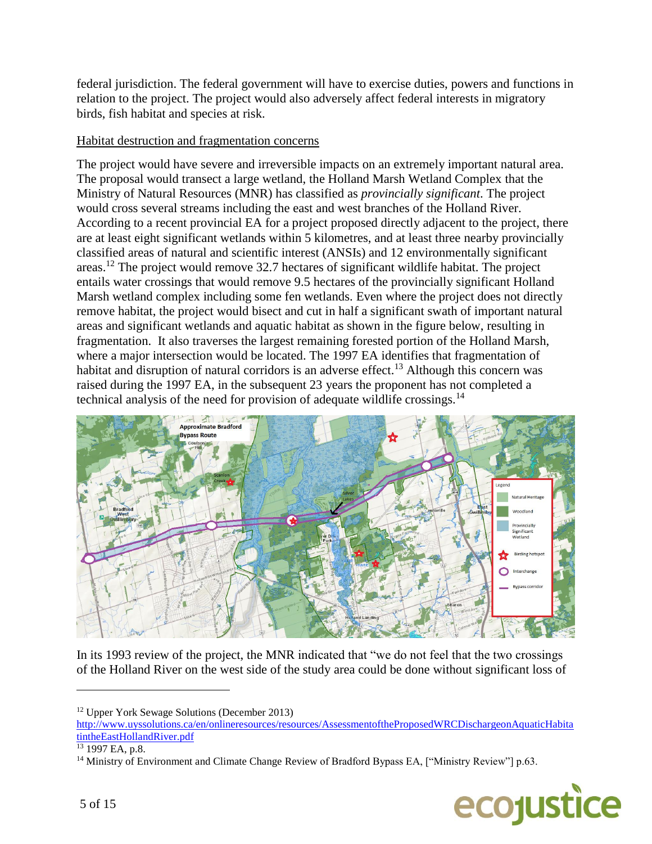federal jurisdiction. The federal government will have to exercise duties, powers and functions in relation to the project. The project would also adversely affect federal interests in migratory birds, fish habitat and species at risk.

# Habitat destruction and fragmentation concerns

The project would have severe and irreversible impacts on an extremely important natural area. The proposal would transect a large wetland, the Holland Marsh Wetland Complex that the Ministry of Natural Resources (MNR) has classified as *provincially significant*. The project would cross several streams including the east and west branches of the Holland River. According to a recent provincial EA for a project proposed directly adjacent to the project, there are at least eight significant wetlands within 5 kilometres, and at least three nearby provincially classified areas of natural and scientific interest (ANSIs) and 12 environmentally significant areas.<sup>12</sup> The project would remove 32.7 hectares of significant wildlife habitat. The project entails water crossings that would remove 9.5 hectares of the provincially significant Holland Marsh wetland complex including some fen wetlands. Even where the project does not directly remove habitat, the project would bisect and cut in half a significant swath of important natural areas and significant wetlands and aquatic habitat as shown in the figure below, resulting in fragmentation. It also traverses the largest remaining forested portion of the Holland Marsh, where a major intersection would be located. The 1997 EA identifies that fragmentation of habitat and disruption of natural corridors is an adverse effect.<sup>13</sup> Although this concern was raised during the 1997 EA, in the subsequent 23 years the proponent has not completed a technical analysis of the need for provision of adequate wildlife crossings.<sup>14</sup>



In its 1993 review of the project, the MNR indicated that "we do not feel that the two crossings of the Holland River on the west side of the study area could be done without significant loss of

<sup>&</sup>lt;sup>14</sup> Ministry of Environment and Climate Change Review of Bradford Bypass EA, ["Ministry Review"] p.63.



<sup>12</sup> Upper York Sewage Solutions (December 2013)

[http://www.uyssolutions.ca/en/onlineresources/resources/AssessmentoftheProposedWRCDischargeonAquaticHabita](http://www.uyssolutions.ca/en/onlineresources/resources/AssessmentoftheProposedWRCDischargeonAquaticHabitatintheEastHollandRiver.pdf) [tintheEastHollandRiver.pdf](http://www.uyssolutions.ca/en/onlineresources/resources/AssessmentoftheProposedWRCDischargeonAquaticHabitatintheEastHollandRiver.pdf)

<sup>13</sup> 1997 EA, p.8.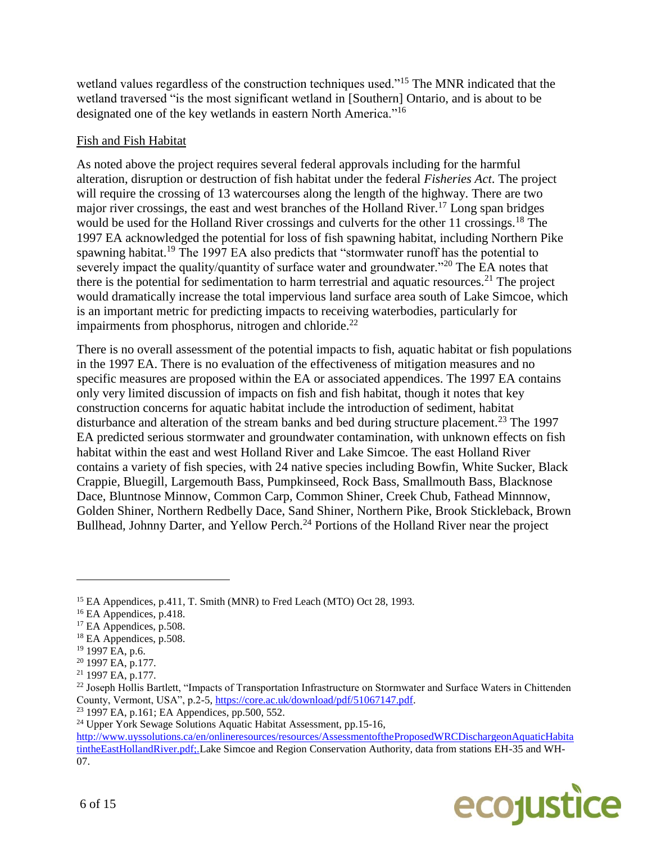wetland values regardless of the construction techniques used."<sup>15</sup> The MNR indicated that the wetland traversed "is the most significant wetland in [Southern] Ontario, and is about to be designated one of the key wetlands in eastern North America."<sup>16</sup>

#### Fish and Fish Habitat

As noted above the project requires several federal approvals including for the harmful alteration, disruption or destruction of fish habitat under the federal *Fisheries Act*. The project will require the crossing of 13 watercourses along the length of the highway. There are two major river crossings, the east and west branches of the Holland River.<sup>17</sup> Long span bridges would be used for the Holland River crossings and culverts for the other 11 crossings.<sup>18</sup> The 1997 EA acknowledged the potential for loss of fish spawning habitat, including Northern Pike spawning habitat.<sup>19</sup> The 1997 EA also predicts that "stormwater runoff has the potential to severely impact the quality/quantity of surface water and groundwater."<sup>20</sup> The EA notes that there is the potential for sedimentation to harm terrestrial and aquatic resources.<sup>21</sup> The project would dramatically increase the total impervious land surface area south of Lake Simcoe, which is an important metric for predicting impacts to receiving waterbodies, particularly for impairments from phosphorus, nitrogen and chloride.<sup>22</sup>

There is no overall assessment of the potential impacts to fish, aquatic habitat or fish populations in the 1997 EA. There is no evaluation of the effectiveness of mitigation measures and no specific measures are proposed within the EA or associated appendices. The 1997 EA contains only very limited discussion of impacts on fish and fish habitat, though it notes that key construction concerns for aquatic habitat include the introduction of sediment, habitat disturbance and alteration of the stream banks and bed during structure placement.<sup>23</sup> The 1997 EA predicted serious stormwater and groundwater contamination, with unknown effects on fish habitat within the east and west Holland River and Lake Simcoe. The east Holland River contains a variety of fish species, with 24 native species including Bowfin, White Sucker, Black Crappie, Bluegill, Largemouth Bass, Pumpkinseed, Rock Bass, Smallmouth Bass, Blacknose Dace, Bluntnose Minnow, Common Carp, Common Shiner, Creek Chub, Fathead Minnnow, Golden Shiner, Northern Redbelly Dace, Sand Shiner, Northern Pike, Brook Stickleback, Brown Bullhead, Johnny Darter, and Yellow Perch.<sup>24</sup> Portions of the Holland River near the project

http://www.uyssolutions.ca/en/onlineresources/resources/AssessmentoftheProposedWRCDischargeonAquaticHabita tintheEastHollandRiver.pdf;.Lake Simcoe and Region Conservation Authority, data from stations EH-35 and WH-07.



<sup>&</sup>lt;sup>15</sup> EA Appendices, p.411, T. Smith (MNR) to Fred Leach (MTO) Oct 28, 1993.

<sup>&</sup>lt;sup>16</sup> EA Appendices, p.418.

<sup>&</sup>lt;sup>17</sup> EA Appendices, p.508.

<sup>&</sup>lt;sup>18</sup> EA Appendices, p.508.

<sup>19</sup> 1997 EA, p.6.

<sup>20</sup> 1997 EA, p.177.

<sup>21</sup> 1997 EA, p.177.

<sup>&</sup>lt;sup>22</sup> Joseph Hollis Bartlett, "Impacts of Transportation Infrastructure on Stormwater and Surface Waters in Chittenden County, Vermont, USA", p.2-5, [https://core.ac.uk/download/pdf/51067147.pdf.](https://core.ac.uk/download/pdf/51067147.pdf)

<sup>23</sup> 1997 EA, p.161; EA Appendices, pp.500, 552.

 $24$  Upper York Sewage Solutions Aquatic Habitat Assessment, pp.15-16,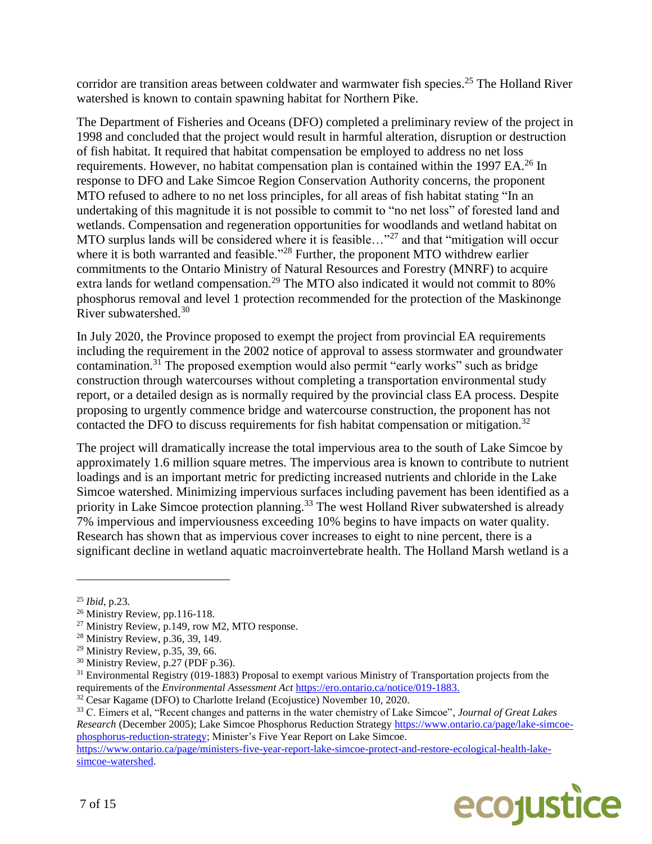corridor are transition areas between coldwater and warmwater fish species.<sup>25</sup> The Holland River watershed is known to contain spawning habitat for Northern Pike.

The Department of Fisheries and Oceans (DFO) completed a preliminary review of the project in 1998 and concluded that the project would result in harmful alteration, disruption or destruction of fish habitat. It required that habitat compensation be employed to address no net loss requirements. However, no habitat compensation plan is contained within the 1997 EA.<sup>26</sup> In response to DFO and Lake Simcoe Region Conservation Authority concerns, the proponent MTO refused to adhere to no net loss principles, for all areas of fish habitat stating "In an undertaking of this magnitude it is not possible to commit to "no net loss" of forested land and wetlands. Compensation and regeneration opportunities for woodlands and wetland habitat on MTO surplus lands will be considered where it is feasible..."<sup>27</sup> and that "mitigation will occur where it is both warranted and feasible."<sup>28</sup> Further, the proponent MTO withdrew earlier commitments to the Ontario Ministry of Natural Resources and Forestry (MNRF) to acquire extra lands for wetland compensation.<sup>29</sup> The MTO also indicated it would not commit to 80% phosphorus removal and level 1 protection recommended for the protection of the Maskinonge River subwatershed.<sup>30</sup>

In July 2020, the Province proposed to exempt the project from provincial EA requirements including the requirement in the 2002 notice of approval to assess stormwater and groundwater contamination.<sup>31</sup> The proposed exemption would also permit "early works" such as bridge construction through watercourses without completing a transportation environmental study report, or a detailed design as is normally required by the provincial class EA process. Despite proposing to urgently commence bridge and watercourse construction, the proponent has not contacted the DFO to discuss requirements for fish habitat compensation or mitigation.<sup>32</sup>

The project will dramatically increase the total impervious area to the south of Lake Simcoe by approximately 1.6 million square metres. The impervious area is known to contribute to nutrient loadings and is an important metric for predicting increased nutrients and chloride in the Lake Simcoe watershed. Minimizing impervious surfaces including pavement has been identified as a priority in Lake Simcoe protection planning.<sup>33</sup> The west Holland River subwatershed is already 7% impervious and imperviousness exceeding 10% begins to have impacts on water quality. Research has shown that as impervious cover increases to eight to nine percent, there is a significant decline in wetland aquatic macroinvertebrate health. The Holland Marsh wetland is a

 $\overline{a}$ 

[simcoe-watershed.](https://www.ontario.ca/page/ministers-five-year-report-lake-simcoe-protect-and-restore-ecological-health-lake-simcoe-watershed)



<sup>25</sup> *Ibid*, p.23.

<sup>26</sup> Ministry Review, pp.116-118.

<sup>&</sup>lt;sup>27</sup> Ministry Review, p.149, row M2, MTO response.

<sup>28</sup> Ministry Review, p.36, 39, 149.

<sup>29</sup> Ministry Review, p.35, 39, 66.

<sup>30</sup> Ministry Review, p.27 (PDF p.36).

<sup>&</sup>lt;sup>31</sup> Environmental Registry (019-1883) Proposal to exempt various Ministry of Transportation projects from the requirements of the *Environmental Assessment Act* [https://ero.ontario.ca/notice/019-1883.](https://ero.ontario.ca/notice/019-1883)

<sup>&</sup>lt;sup>32</sup> Cesar Kagame (DFO) to Charlotte Ireland (Ecojustice) November 10, 2020.

<sup>33</sup> C. Eimers et al, "Recent changes and patterns in the water chemistry of Lake Simcoe", *Journal of Great Lakes Research* (December 2005); Lake Simcoe Phosphorus Reduction Strategy [https://www.ontario.ca/page/lake-simcoe](https://www.ontario.ca/page/lake-simcoe-phosphorus-reduction-strategy)[phosphorus-reduction-strategy;](https://www.ontario.ca/page/lake-simcoe-phosphorus-reduction-strategy) Minister's Five Year Report on Lake Simcoe. [https://www.ontario.ca/page/ministers-five-year-report-lake-simcoe-protect-and-restore-ecological-health-lake-](https://www.ontario.ca/page/ministers-five-year-report-lake-simcoe-protect-and-restore-ecological-health-lake-simcoe-watershed)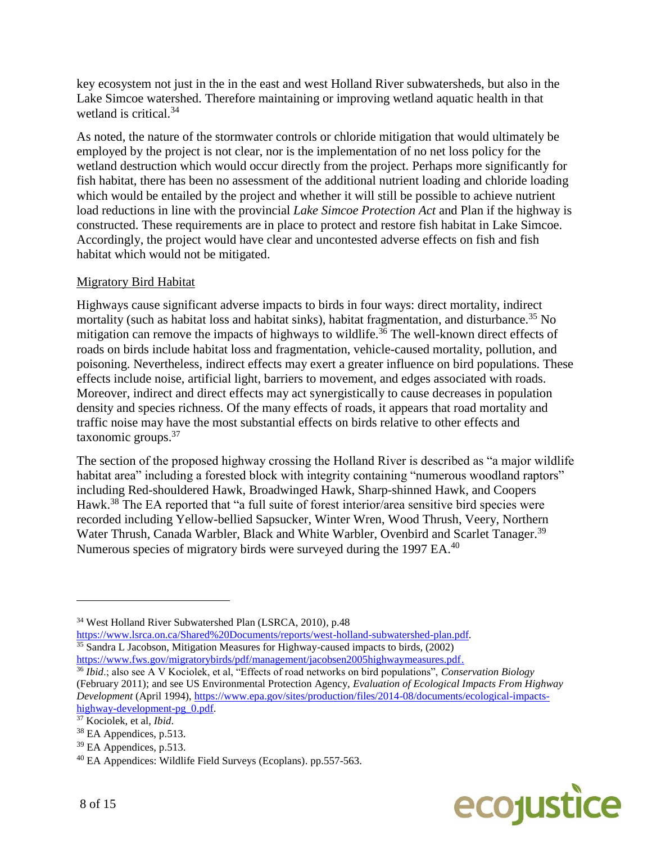key ecosystem not just in the in the east and west Holland River subwatersheds, but also in the Lake Simcoe watershed. Therefore maintaining or improving wetland aquatic health in that wetland is critical.<sup>34</sup>

As noted, the nature of the stormwater controls or chloride mitigation that would ultimately be employed by the project is not clear, nor is the implementation of no net loss policy for the wetland destruction which would occur directly from the project. Perhaps more significantly for fish habitat, there has been no assessment of the additional nutrient loading and chloride loading which would be entailed by the project and whether it will still be possible to achieve nutrient load reductions in line with the provincial *Lake Simcoe Protection Act* and Plan if the highway is constructed. These requirements are in place to protect and restore fish habitat in Lake Simcoe. Accordingly, the project would have clear and uncontested adverse effects on fish and fish habitat which would not be mitigated.

# Migratory Bird Habitat

Highways cause significant adverse impacts to birds in four ways: direct mortality, indirect mortality (such as habitat loss and habitat sinks), habitat fragmentation, and disturbance.<sup>35</sup> No mitigation can remove the impacts of highways to wildlife.<sup>36</sup> The well-known direct effects of roads on birds include habitat loss and fragmentation, vehicle-caused mortality, pollution, and poisoning. Nevertheless, indirect effects may exert a greater influence on bird populations. These effects include noise, artificial light, barriers to movement, and edges associated with roads. Moreover, indirect and direct effects may act synergistically to cause decreases in population density and species richness. Of the many effects of roads, it appears that road mortality and traffic noise may have the most substantial effects on birds relative to other effects and taxonomic groups.<sup>37</sup>

The section of the proposed highway crossing the Holland River is described as "a major wildlife habitat area" including a forested block with integrity containing "numerous woodland raptors" including Red-shouldered Hawk, Broadwinged Hawk, Sharp-shinned Hawk, and Coopers Hawk.<sup>38</sup> The EA reported that "a full suite of forest interior/area sensitive bird species were recorded including Yellow-bellied Sapsucker, Winter Wren, Wood Thrush, Veery, Northern Water Thrush, Canada Warbler, Black and White Warbler, Ovenbird and Scarlet Tanager.<sup>39</sup> Numerous species of migratory birds were surveyed during the 1997 EA.<sup>40</sup>



<sup>34</sup> West Holland River Subwatershed Plan (LSRCA, 2010), p.48

[https://www.lsrca.on.ca/Shared%20Documents/reports/west-holland-subwatershed-plan.pdf.](https://www.lsrca.on.ca/Shared%20Documents/reports/west-holland-subwatershed-plan.pdf)  $35 \text{ Sandra L Jacobson, Mitigation Measures for Highway-caused impacts to birds, (2002)$ [https://www.fws.gov/migratorybirds/pdf/management/jacobsen2005highwaymeasures.pdf.](https://www.fws.gov/migratorybirds/pdf/management/jacobsen2005highwaymeasures.pdf)

<sup>36</sup> *Ibid*.; also see A V Kociolek, et al, "Effects of road networks on bird populations", *Conservation Biology* (February 2011); and see US Environmental Protection Agency, *Evaluation of Ecological Impacts From Highway Development* (April 1994)[, https://www.epa.gov/sites/production/files/2014-08/documents/ecological-impacts](https://www.epa.gov/sites/production/files/2014-08/documents/ecological-impacts-highway-development-pg_0.pdf)[highway-development-pg\\_0.pdf.](https://www.epa.gov/sites/production/files/2014-08/documents/ecological-impacts-highway-development-pg_0.pdf)

<sup>37</sup> Kociolek, et al, *Ibid*.

<sup>38</sup> EA Appendices, p.513.

<sup>39</sup> EA Appendices, p.513.

<sup>40</sup> EA Appendices: Wildlife Field Surveys (Ecoplans). pp.557-563.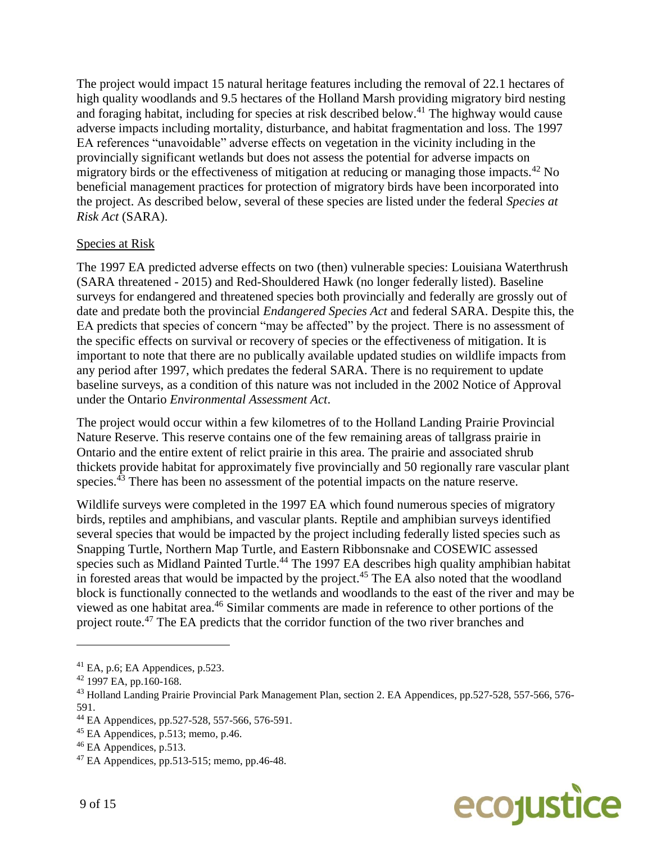The project would impact 15 natural heritage features including the removal of 22.1 hectares of high quality woodlands and 9.5 hectares of the Holland Marsh providing migratory bird nesting and foraging habitat, including for species at risk described below.<sup>41</sup> The highway would cause adverse impacts including mortality, disturbance, and habitat fragmentation and loss. The 1997 EA references "unavoidable" adverse effects on vegetation in the vicinity including in the provincially significant wetlands but does not assess the potential for adverse impacts on migratory birds or the effectiveness of mitigation at reducing or managing those impacts.<sup>42</sup> No beneficial management practices for protection of migratory birds have been incorporated into the project. As described below, several of these species are listed under the federal *Species at Risk Act* (SARA).

# Species at Risk

The 1997 EA predicted adverse effects on two (then) vulnerable species: Louisiana Waterthrush (SARA threatened - 2015) and Red-Shouldered Hawk (no longer federally listed). Baseline surveys for endangered and threatened species both provincially and federally are grossly out of date and predate both the provincial *Endangered Species Act* and federal SARA. Despite this, the EA predicts that species of concern "may be affected" by the project. There is no assessment of the specific effects on survival or recovery of species or the effectiveness of mitigation. It is important to note that there are no publically available updated studies on wildlife impacts from any period after 1997, which predates the federal SARA. There is no requirement to update baseline surveys, as a condition of this nature was not included in the 2002 Notice of Approval under the Ontario *Environmental Assessment Act*.

The project would occur within a few kilometres of to the Holland Landing Prairie Provincial Nature Reserve. This reserve contains one of the few remaining areas of tallgrass prairie in Ontario and the entire extent of relict prairie in this area. The prairie and associated shrub thickets provide habitat for approximately five provincially and 50 regionally rare vascular plant species.<sup>43</sup> There has been no assessment of the potential impacts on the nature reserve.

Wildlife surveys were completed in the 1997 EA which found numerous species of migratory birds, reptiles and amphibians, and vascular plants. Reptile and amphibian surveys identified several species that would be impacted by the project including federally listed species such as Snapping Turtle, Northern Map Turtle, and Eastern Ribbonsnake and COSEWIC assessed species such as Midland Painted Turtle.<sup>44</sup> The 1997 EA describes high quality amphibian habitat in forested areas that would be impacted by the project.<sup>45</sup> The EA also noted that the woodland block is functionally connected to the wetlands and woodlands to the east of the river and may be viewed as one habitat area.<sup>46</sup> Similar comments are made in reference to other portions of the project route.<sup>47</sup> The EA predicts that the corridor function of the two river branches and



 $41$  EA, p.6; EA Appendices, p.523.

 $42$  1997 EA, pp.160-168.

<sup>&</sup>lt;sup>43</sup> Holland Landing Prairie Provincial Park Management Plan, section 2. EA Appendices, pp.527-528, 557-566, 576-591.

<sup>44</sup> EA Appendices, pp.527-528, 557-566, 576-591.

 $45$  EA Appendices, p.513; memo, p.46.

<sup>46</sup> EA Appendices, p.513.

<sup>47</sup> EA Appendices, pp.513-515; memo, pp.46-48.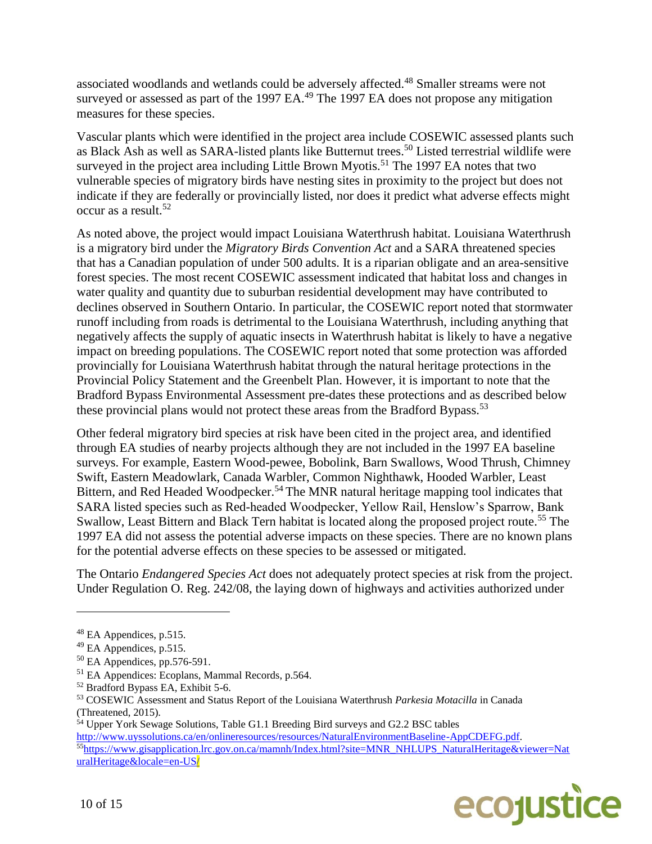associated woodlands and wetlands could be adversely affected.<sup>48</sup> Smaller streams were not surveyed or assessed as part of the 1997 EA.<sup>49</sup> The 1997 EA does not propose any mitigation measures for these species.

Vascular plants which were identified in the project area include COSEWIC assessed plants such as Black Ash as well as SARA-listed plants like Butternut trees.<sup>50</sup> Listed terrestrial wildlife were surveyed in the project area including Little Brown Myotis.<sup>51</sup> The 1997 EA notes that two vulnerable species of migratory birds have nesting sites in proximity to the project but does not indicate if they are federally or provincially listed, nor does it predict what adverse effects might occur as a result.<sup>52</sup>

As noted above, the project would impact Louisiana Waterthrush habitat. Louisiana Waterthrush is a migratory bird under the *Migratory Birds Convention Act* and a SARA threatened species that has a Canadian population of under 500 adults. It is a riparian obligate and an area-sensitive forest species. The most recent COSEWIC assessment indicated that habitat loss and changes in water quality and quantity due to suburban residential development may have contributed to declines observed in Southern Ontario. In particular, the COSEWIC report noted that stormwater runoff including from roads is detrimental to the Louisiana Waterthrush, including anything that negatively affects the supply of aquatic insects in Waterthrush habitat is likely to have a negative impact on breeding populations. The COSEWIC report noted that some protection was afforded provincially for Louisiana Waterthrush habitat through the natural heritage protections in the Provincial Policy Statement and the Greenbelt Plan. However, it is important to note that the Bradford Bypass Environmental Assessment pre-dates these protections and as described below these provincial plans would not protect these areas from the Bradford Bypass.<sup>53</sup>

Other federal migratory bird species at risk have been cited in the project area, and identified through EA studies of nearby projects although they are not included in the 1997 EA baseline surveys. For example, Eastern Wood-pewee, Bobolink, Barn Swallows, Wood Thrush, Chimney Swift, Eastern Meadowlark, Canada Warbler, Common Nighthawk, Hooded Warbler, Least Bittern, and Red Headed Woodpecker.<sup>54</sup> The MNR natural heritage mapping tool indicates that SARA listed species such as Red-headed Woodpecker, Yellow Rail, Henslow's Sparrow, Bank Swallow, Least Bittern and Black Tern habitat is located along the proposed project route.<sup>55</sup> The 1997 EA did not assess the potential adverse impacts on these species. There are no known plans for the potential adverse effects on these species to be assessed or mitigated.

The Ontario *Endangered Species Act* does not adequately protect species at risk from the project. Under Regulation O. Reg. 242/08, the laying down of highways and activities authorized under

[http://www.uyssolutions.ca/en/onlineresources/resources/NaturalEnvironmentBaseline-AppCDEFG.pdf.](http://www.uyssolutions.ca/en/onlineresources/resources/NaturalEnvironmentBaseline-AppCDEFG.pdf) <sup>55</sup>[https://www.gisapplication.lrc.gov.on.ca/mamnh/Index.html?site=MNR\\_NHLUPS\\_NaturalHeritage&viewer=Nat](https://www.gisapplication.lrc.gov.on.ca/mamnh/) [uralHeritage&locale=en-US/](https://www.gisapplication.lrc.gov.on.ca/mamnh/)



<sup>48</sup> EA Appendices, p.515.

<sup>&</sup>lt;sup>49</sup> EA Appendices, p.515.

 $50$  EA Appendices, pp.576-591.

<sup>51</sup> EA Appendices: Ecoplans, Mammal Records, p.564.

<sup>52</sup> Bradford Bypass EA, Exhibit 5-6.

<sup>53</sup> COSEWIC Assessment and Status Report of the Louisiana Waterthrush *Parkesia Motacilla* in Canada (Threatened, 2015).

<sup>54</sup> Upper York Sewage Solutions, Table G1.1 Breeding Bird surveys and G2.2 BSC tables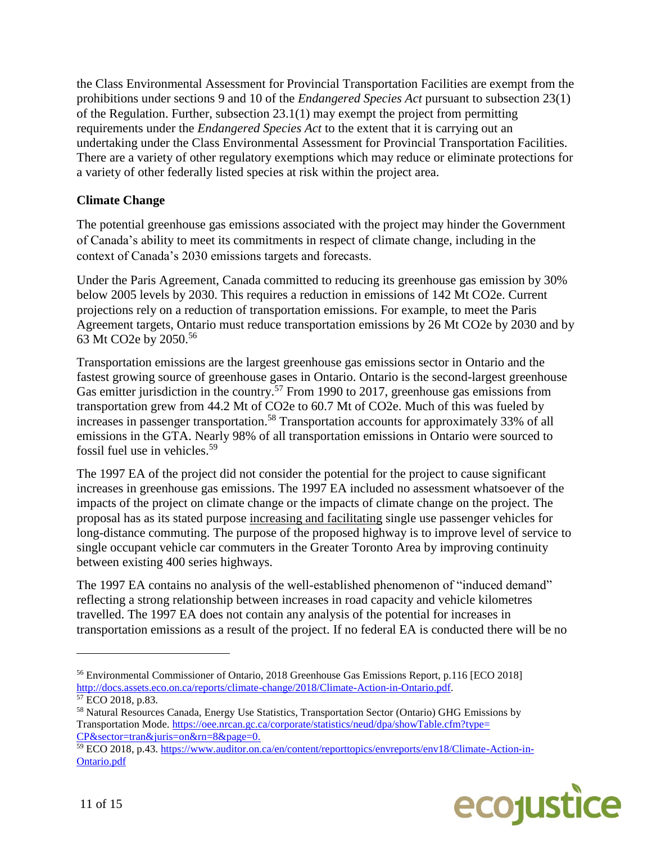the Class Environmental Assessment for Provincial Transportation Facilities are exempt from the prohibitions under sections 9 and 10 of the *Endangered Species Act* pursuant to subsection 23(1) of the Regulation. Further, subsection 23.1(1) may exempt the project from permitting requirements under the *Endangered Species Act* to the extent that it is carrying out an undertaking under the Class Environmental Assessment for Provincial Transportation Facilities. There are a variety of other regulatory exemptions which may reduce or eliminate protections for a variety of other federally listed species at risk within the project area.

# **Climate Change**

The potential greenhouse gas emissions associated with the project may hinder the Government of Canada's ability to meet its commitments in respect of climate change, including in the context of Canada's 2030 emissions targets and forecasts.

Under the Paris Agreement, Canada committed to reducing its greenhouse gas emission by 30% below 2005 levels by 2030. This requires a reduction in emissions of 142 Mt CO2e. Current projections rely on a reduction of transportation emissions. For example, to meet the Paris Agreement targets, Ontario must reduce transportation emissions by 26 Mt CO2e by 2030 and by 63 Mt CO2e by 2050.<sup>56</sup>

Transportation emissions are the largest greenhouse gas emissions sector in Ontario and the fastest growing source of greenhouse gases in Ontario. Ontario is the second-largest greenhouse Gas emitter jurisdiction in the country.<sup>57</sup> From 1990 to 2017, greenhouse gas emissions from transportation grew from 44.2 Mt of CO2e to 60.7 Mt of CO2e. Much of this was fueled by increases in passenger transportation.<sup>58</sup> Transportation accounts for approximately 33% of all emissions in the GTA. Nearly 98% of all transportation emissions in Ontario were sourced to fossil fuel use in vehicles.<sup>59</sup>

The 1997 EA of the project did not consider the potential for the project to cause significant increases in greenhouse gas emissions. The 1997 EA included no assessment whatsoever of the impacts of the project on climate change or the impacts of climate change on the project. The proposal has as its stated purpose increasing and facilitating single use passenger vehicles for long-distance commuting. The purpose of the proposed highway is to improve level of service to single occupant vehicle car commuters in the Greater Toronto Area by improving continuity between existing 400 series highways.

The 1997 EA contains no analysis of the well-established phenomenon of "induced demand" reflecting a strong relationship between increases in road capacity and vehicle kilometres travelled. The 1997 EA does not contain any analysis of the potential for increases in transportation emissions as a result of the project. If no federal EA is conducted there will be no

<sup>59</sup> ECO 2018, p.43. [https://www.auditor.on.ca/en/content/reporttopics/envreports/env18/Climate-Action-in-](https://www.auditor.on.ca/en/content/reporttopics/envreports/env18/Climate-Action-in-Ontario.pdf)[Ontario.pdf](https://www.auditor.on.ca/en/content/reporttopics/envreports/env18/Climate-Action-in-Ontario.pdf)



<sup>56</sup> Environmental Commissioner of Ontario, 2018 Greenhouse Gas Emissions Report, p.116 [ECO 2018] [http://docs.assets.eco.on.ca/reports/climate-change/2018/Climate-Action-in-Ontario.pdf.](http://docs.assets.eco.on.ca/reports/climate-change/2018/Climate-Action-in-Ontario.pdf)  $57$  ECO 2018, p.83.

<sup>58</sup> Natural Resources Canada, Energy Use Statistics, Transportation Sector (Ontario) GHG Emissions by Transportation Mode[. https://oee.nrcan.gc.ca/corporate/statistics/neud/dpa/showTable.cfm?type=](https://oee.nrcan.gc.ca/corporate/statistics/neud/dpa/showTable.cfm?type=CP§or=tran&juris=on&rn=8&page=0) [CP&sector=tran&juris=on&rn=8&page=0.](https://oee.nrcan.gc.ca/corporate/statistics/neud/dpa/showTable.cfm?type=CP§or=tran&juris=on&rn=8&page=0)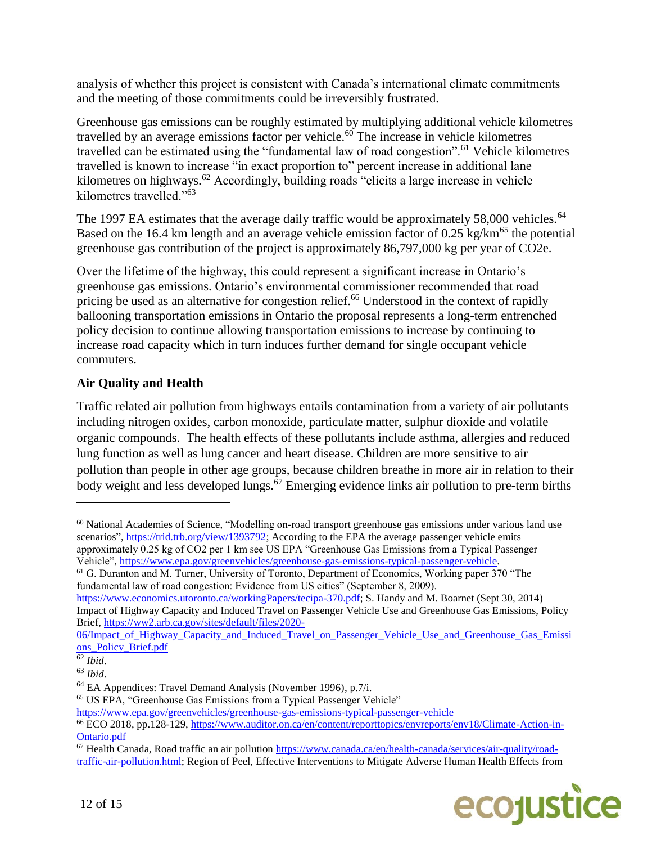analysis of whether this project is consistent with Canada's international climate commitments and the meeting of those commitments could be irreversibly frustrated.

Greenhouse gas emissions can be roughly estimated by multiplying additional vehicle kilometres travelled by an average emissions factor per vehicle.<sup>60</sup> The increase in vehicle kilometres travelled can be estimated using the "fundamental law of road congestion".<sup>61</sup> Vehicle kilometres travelled is known to increase "in exact proportion to" percent increase in additional lane kilometres on highways.<sup>62</sup> Accordingly, building roads "elicits a large increase in vehicle kilometres travelled."<sup>63</sup>

The 1997 EA estimates that the average daily traffic would be approximately 58,000 vehicles.<sup>64</sup> Based on the 16.4 km length and an average vehicle emission factor of 0.25 kg/km<sup>65</sup> the potential greenhouse gas contribution of the project is approximately 86,797,000 kg per year of CO2e.

Over the lifetime of the highway, this could represent a significant increase in Ontario's greenhouse gas emissions. Ontario's environmental commissioner recommended that road pricing be used as an alternative for congestion relief.<sup>66</sup> Understood in the context of rapidly ballooning transportation emissions in Ontario the proposal represents a long-term entrenched policy decision to continue allowing transportation emissions to increase by continuing to increase road capacity which in turn induces further demand for single occupant vehicle commuters.

# **Air Quality and Health**

Traffic related air pollution from highways entails contamination from a variety of air pollutants including nitrogen oxides, carbon monoxide, particulate matter, sulphur dioxide and volatile organic compounds. The health effects of these pollutants include asthma, allergies and reduced lung function as well as lung cancer and heart disease. Children are more sensitive to air pollution than people in other age groups, because children breathe in more air in relation to their body weight and less developed lungs.<sup>67</sup> Emerging evidence links air pollution to pre-term births

[https://www.economics.utoronto.ca/workingPapers/tecipa-370.pdf;](https://www.economics.utoronto.ca/workingPapers/tecipa-370.pdf) S. Handy and M. Boarnet (Sept 30, 2014) Impact of Highway Capacity and Induced Travel on Passenger Vehicle Use and Greenhouse Gas Emissions, Policy Brief, [https://ww2.arb.ca.gov/sites/default/files/2020-](https://ww2.arb.ca.gov/sites/default/files/2020-06/Impact_of_Highway_Capacity_and_Induced_Travel_on_Passenger_Vehicle_Use_and_Greenhouse_Gas_Emissions_Policy_Brief.pdf)

06/Impact of Highway Capacity and Induced Travel on Passenger Vehicle Use and Greenhouse Gas Emissi [ons\\_Policy\\_Brief.pdf](https://ww2.arb.ca.gov/sites/default/files/2020-06/Impact_of_Highway_Capacity_and_Induced_Travel_on_Passenger_Vehicle_Use_and_Greenhouse_Gas_Emissions_Policy_Brief.pdf)

<sup>67</sup> Health Canada, Road traffic an air pollution [https://www.canada.ca/en/health-canada/services/air-quality/road](https://www.canada.ca/en/health-canada/services/air-quality/road-traffic-air-pollution.html)[traffic-air-pollution.html;](https://www.canada.ca/en/health-canada/services/air-quality/road-traffic-air-pollution.html) Region of Peel, Effective Interventions to Mitigate Adverse Human Health Effects from



<sup>60</sup> National Academies of Science, "Modelling on-road transport greenhouse gas emissions under various land use scenarios"[, https://trid.trb.org/view/1393792;](https://trid.trb.org/view/1393792) According to the EPA the average passenger vehicle emits approximately 0.25 kg of CO2 per 1 km see US EPA "Greenhouse Gas Emissions from a Typical Passenger Vehicle", [https://www.epa.gov/greenvehicles/greenhouse-gas-emissions-typical-passenger-vehicle.](https://www.epa.gov/greenvehicles/greenhouse-gas-emissions-typical-passenger-vehicle)

<sup>61</sup> G. Duranton and M. Turner, University of Toronto, Department of Economics, Working paper 370 "The fundamental law of road congestion: Evidence from US cities" (September 8, 2009).

<sup>62</sup> *Ibid*.

<sup>63</sup> *Ibid*.

<sup>64</sup> EA Appendices: Travel Demand Analysis (November 1996), p.7/i.

<sup>65</sup> US EPA, "Greenhouse Gas Emissions from a Typical Passenger Vehicle"

<https://www.epa.gov/greenvehicles/greenhouse-gas-emissions-typical-passenger-vehicle>

<sup>66</sup> ECO 2018, pp.128-129, [https://www.auditor.on.ca/en/content/reporttopics/envreports/env18/Climate-Action-in-](https://www.auditor.on.ca/en/content/reporttopics/envreports/env18/Climate-Action-in-Ontario.pdf)[Ontario.pdf](https://www.auditor.on.ca/en/content/reporttopics/envreports/env18/Climate-Action-in-Ontario.pdf)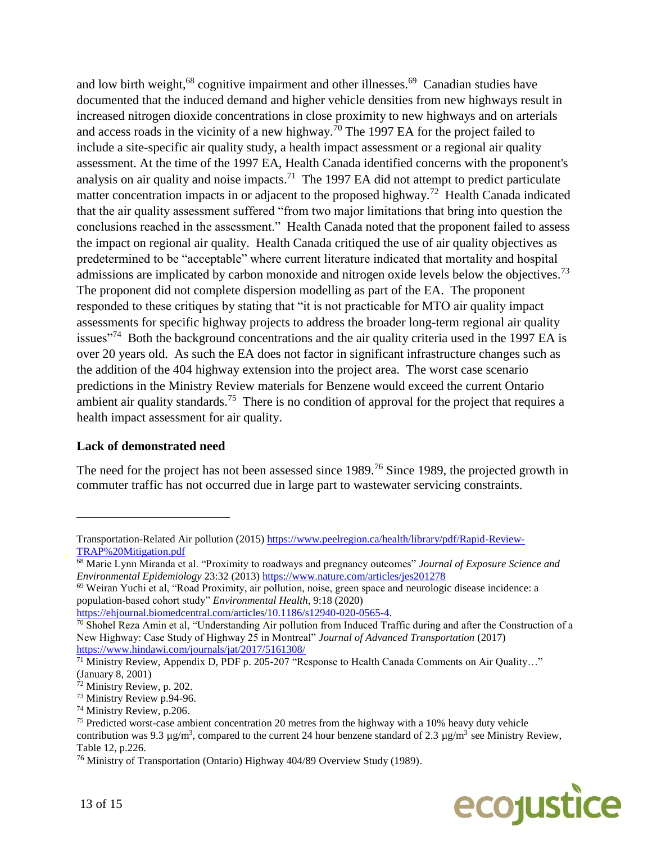and low birth weight,<sup>68</sup> cognitive impairment and other illnesses.<sup>69</sup> Canadian studies have documented that the induced demand and higher vehicle densities from new highways result in increased nitrogen dioxide concentrations in close proximity to new highways and on arterials and access roads in the vicinity of a new highway.<sup>70</sup> The 1997 EA for the project failed to include a site-specific air quality study, a health impact assessment or a regional air quality assessment. At the time of the 1997 EA, Health Canada identified concerns with the proponent's analysis on air quality and noise impacts.<sup>71</sup> The 1997 EA did not attempt to predict particulate matter concentration impacts in or adjacent to the proposed highway.<sup>72</sup> Health Canada indicated that the air quality assessment suffered "from two major limitations that bring into question the conclusions reached in the assessment." Health Canada noted that the proponent failed to assess the impact on regional air quality. Health Canada critiqued the use of air quality objectives as predetermined to be "acceptable" where current literature indicated that mortality and hospital admissions are implicated by carbon monoxide and nitrogen oxide levels below the objectives.<sup>73</sup> The proponent did not complete dispersion modelling as part of the EA. The proponent responded to these critiques by stating that "it is not practicable for MTO air quality impact assessments for specific highway projects to address the broader long-term regional air quality issues<sup>"74</sup> Both the background concentrations and the air quality criteria used in the 1997 EA is over 20 years old. As such the EA does not factor in significant infrastructure changes such as the addition of the 404 highway extension into the project area. The worst case scenario predictions in the Ministry Review materials for Benzene would exceed the current Ontario ambient air quality standards.<sup>75</sup> There is no condition of approval for the project that requires a health impact assessment for air quality.

# **Lack of demonstrated need**

The need for the project has not been assessed since 1989.<sup>76</sup> Since 1989, the projected growth in commuter traffic has not occurred due in large part to wastewater servicing constraints.

<sup>76</sup> Ministry of Transportation (Ontario) Highway 404/89 Overview Study (1989).



Transportation-Related Air pollution (2015) [https://www.peelregion.ca/health/library/pdf/Rapid-Review-](https://www.peelregion.ca/health/library/pdf/Rapid-Review-TRAP%20Mitigation.pdf)[TRAP%20Mitigation.pdf](https://www.peelregion.ca/health/library/pdf/Rapid-Review-TRAP%20Mitigation.pdf)

<sup>68</sup> Marie Lynn Miranda et al. "Proximity to roadways and pregnancy outcomes" *Journal of Exposure Science and Environmental Epidemiology* 23:32 (2013)<https://www.nature.com/articles/jes201278>

<sup>69</sup> Weiran Yuchi et al, "Road Proximity, air pollution, noise, green space and neurologic disease incidence: a population-based cohort study" *Environmental Health,* 9:18 (2020)

[https://ehjournal.biomedcentral.com/articles/10.1186/s12940-020-0565-4.](https://ehjournal.biomedcentral.com/articles/10.1186/s12940-020-0565-4)

 $70$  Shohel Reza Amin et al, "Understanding Air pollution from Induced Traffic during and after the Construction of a New Highway: Case Study of Highway 25 in Montreal" *Journal of Advanced Transportation* (2017) <https://www.hindawi.com/journals/jat/2017/5161308/>

 $\frac{71}{11}$  Ministry Review, Appendix D, PDF p. 205-207 "Response to Health Canada Comments on Air Quality..." (January 8, 2001)

<sup>72</sup> Ministry Review, p. 202.

<sup>73</sup> Ministry Review p.94-96.

<sup>74</sup> Ministry Review, p.206.

<sup>&</sup>lt;sup>75</sup> Predicted worst-case ambient concentration 20 metres from the highway with a 10% heavy duty vehicle contribution was 9.3  $\mu$ g/m<sup>3</sup>, compared to the current 24 hour benzene standard of 2.3  $\mu$ g/m<sup>3</sup> see Ministry Review, Table 12, p.226.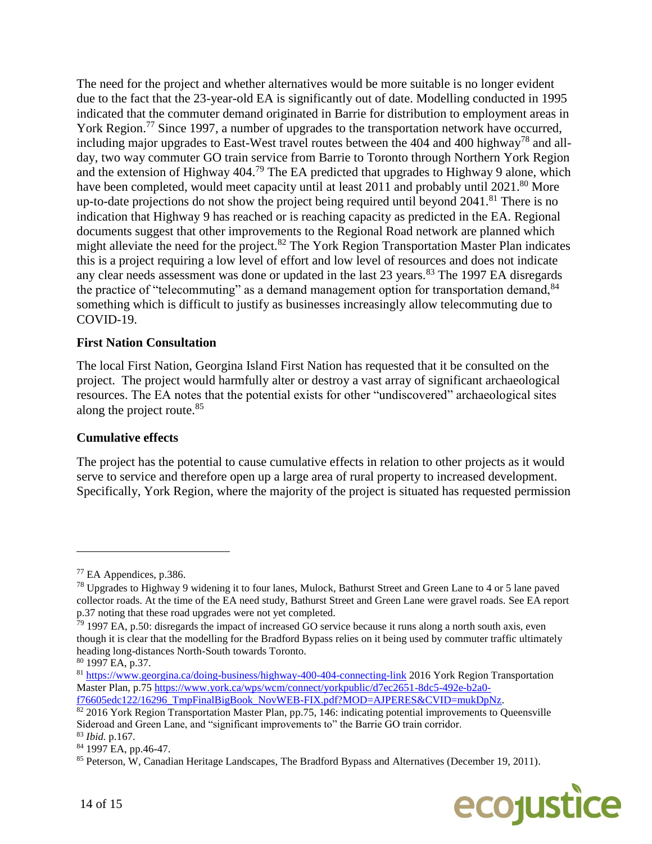The need for the project and whether alternatives would be more suitable is no longer evident due to the fact that the 23-year-old EA is significantly out of date. Modelling conducted in 1995 indicated that the commuter demand originated in Barrie for distribution to employment areas in York Region.<sup>77</sup> Since 1997, a number of upgrades to the transportation network have occurred, including major upgrades to East-West travel routes between the 404 and 400 highway<sup>78</sup> and allday, two way commuter GO train service from Barrie to Toronto through Northern York Region and the extension of Highway  $404<sup>79</sup>$  The EA predicted that upgrades to Highway 9 alone, which have been completed, would meet capacity until at least 2011 and probably until 2021.<sup>80</sup> More up-to-date projections do not show the project being required until beyond  $2041$ .<sup>81</sup> There is no indication that Highway 9 has reached or is reaching capacity as predicted in the EA. Regional documents suggest that other improvements to the Regional Road network are planned which might alleviate the need for the project.<sup>82</sup> The York Region Transportation Master Plan indicates this is a project requiring a low level of effort and low level of resources and does not indicate any clear needs assessment was done or updated in the last 23 years.<sup>83</sup> The 1997 EA disregards the practice of "telecommuting" as a demand management option for transportation demand, <sup>84</sup> something which is difficult to justify as businesses increasingly allow telecommuting due to COVID-19.

# **First Nation Consultation**

The local First Nation, Georgina Island First Nation has requested that it be consulted on the project. The project would harmfully alter or destroy a vast array of significant archaeological resources. The EA notes that the potential exists for other "undiscovered" archaeological sites along the project route. 85

# **Cumulative effects**

The project has the potential to cause cumulative effects in relation to other projects as it would serve to service and therefore open up a large area of rural property to increased development. Specifically, York Region, where the majority of the project is situated has requested permission

<sup>&</sup>lt;sup>85</sup> Peterson, W, Canadian Heritage Landscapes, The Bradford Bypass and Alternatives (December 19, 2011).



<sup>77</sup> EA Appendices, p.386.

<sup>78</sup> Upgrades to Highway 9 widening it to four lanes, Mulock, Bathurst Street and Green Lane to 4 or 5 lane paved collector roads. At the time of the EA need study, Bathurst Street and Green Lane were gravel roads. See EA report p.37 noting that these road upgrades were not yet completed.

 $79$  1997 EA, p.50: disregards the impact of increased GO service because it runs along a north south axis, even though it is clear that the modelling for the Bradford Bypass relies on it being used by commuter traffic ultimately heading long-distances North-South towards Toronto.

<sup>80</sup> 1997 EA, p.37.

<sup>81</sup> <https://www.georgina.ca/doing-business/highway-400-404-connecting-link> 2016 York Region Transportation Master Plan, p.75 [https://www.york.ca/wps/wcm/connect/yorkpublic/d7ec2651-8dc5-492e-b2a0](https://www.york.ca/wps/wcm/connect/yorkpublic/d7ec2651-8dc5-492e-b2a0-f76605edc122/16296_TmpFinalBigBook_NovWEB-FIX.pdf?MOD=AJPERES&CVID=mukDpNz) [f76605edc122/16296\\_TmpFinalBigBook\\_NovWEB-FIX.pdf?MOD=AJPERES&CVID=mukDpNz.](https://www.york.ca/wps/wcm/connect/yorkpublic/d7ec2651-8dc5-492e-b2a0-f76605edc122/16296_TmpFinalBigBook_NovWEB-FIX.pdf?MOD=AJPERES&CVID=mukDpNz)

<sup>82 2016</sup> York Region Transportation Master Plan, pp.75, 146: indicating potential improvements to Queensville Sideroad and Green Lane, and "significant improvements to" the Barrie GO train corridor. <sup>83</sup> *Ibid.* p.167.

<sup>84</sup> 1997 EA, pp.46-47.